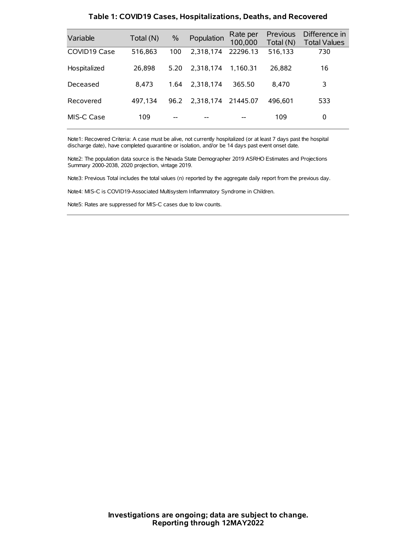| Variable     | Total (N) | $\%$ | Population | Rate per<br>100,000 | Previous<br>Total (N) | Difference in<br><b>Total Values</b> |
|--------------|-----------|------|------------|---------------------|-----------------------|--------------------------------------|
| COVID19 Case | 516,863   | 100  | 2.318.174  | 22296.13            | 516,133               | 730                                  |
| Hospitalized | 26,898    | 5.20 | 2.318.174  | 1.160.31            | 26.882                | 16                                   |
| Deceased     | 8.473     | 1.64 | 2.318.174  | 365.50              | 8.470                 | 3                                    |
| Recovered    | 497,134   | 96.2 | 2.318.174  | 21445.07            | 496.601               | 533                                  |
| MIS-C Case   | 109       | --   |            |                     | 109                   | 0                                    |

#### **Table 1: COVID19 Cases, Hospitalizations, Deaths, and Recovered**

Note1: Recovered Criteria: A case must be alive, not currently hospitalized (or at least 7 days past the hospital discharge date), have completed quarantine or isolation, and/or be 14 days past event onset date.

Note2: The population data source is the Nevada State Demographer 2019 ASRHO Estimates and Projections Summary 2000-2038, 2020 projection, vintage 2019.

Note3: Previous Total includes the total values (n) reported by the aggregate daily report from the previous day.

Note4: MIS-C is COVID19-Associated Multisystem Inflammatory Syndrome in Children.

Note5: Rates are suppressed for MIS-C cases due to low counts.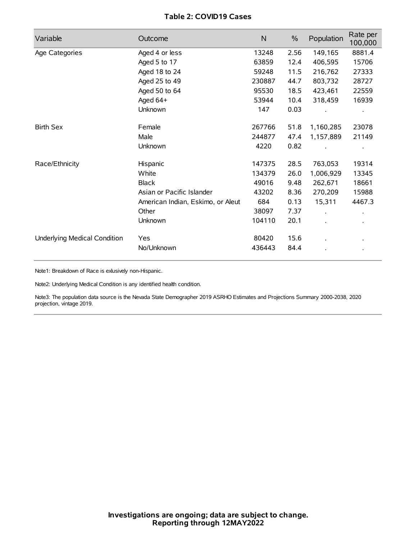# **Table 2: COVID19 Cases**

| Variable                     | Outcome                           | $\mathsf{N}$ | $\%$ | Population | Rate per<br>100,000 |
|------------------------------|-----------------------------------|--------------|------|------------|---------------------|
| Age Categories               | Aged 4 or less                    | 13248        | 2.56 | 149,165    | 8881.4              |
|                              | Aged 5 to 17                      | 63859        | 12.4 | 406,595    | 15706               |
|                              | Aged 18 to 24                     | 59248        | 11.5 | 216,762    | 27333               |
|                              | Aged 25 to 49                     | 230887       | 44.7 | 803,732    | 28727               |
|                              | Aged 50 to 64                     | 95530        | 18.5 | 423,461    | 22559               |
|                              | Aged 64+                          | 53944        | 10.4 | 318,459    | 16939               |
|                              | Unknown                           | 147          | 0.03 |            |                     |
| <b>Birth Sex</b>             | Female                            | 267766       | 51.8 | 1,160,285  | 23078               |
|                              | Male                              | 244877       | 47.4 | 1,157,889  | 21149               |
|                              | Unknown                           | 4220         | 0.82 |            |                     |
| Race/Ethnicity               | Hispanic                          | 147375       | 28.5 | 763,053    | 19314               |
|                              | White                             | 134379       | 26.0 | 1,006,929  | 13345               |
|                              | <b>Black</b>                      | 49016        | 9.48 | 262,671    | 18661               |
|                              | Asian or Pacific Islander         | 43202        | 8.36 | 270,209    | 15988               |
|                              | American Indian, Eskimo, or Aleut | 684          | 0.13 | 15,311     | 4467.3              |
|                              | Other                             | 38097        | 7.37 |            |                     |
|                              | <b>Unknown</b>                    | 104110       | 20.1 |            |                     |
| Underlying Medical Condition | Yes                               | 80420        | 15.6 |            |                     |
|                              | No/Unknown                        | 436443       | 84.4 |            |                     |

Note1: Breakdown of Race is exlusively non-Hispanic.

Note2: Underlying Medical Condition is any identified health condition.

Note3: The population data source is the Nevada State Demographer 2019 ASRHO Estimates and Projections Summary 2000-2038, 2020 projection, vintage 2019.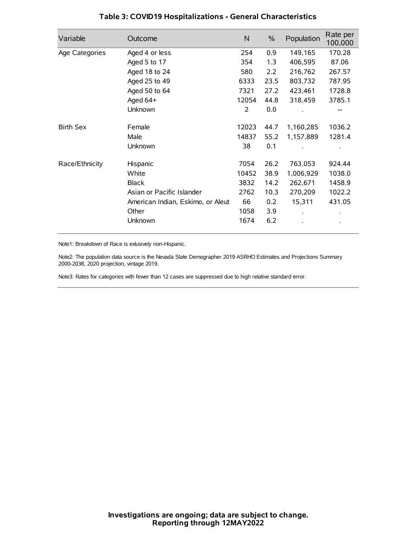| Variable         | Outcome                           | $\mathsf{N}$ | $\%$ | Population | Rate per<br>100,000 |
|------------------|-----------------------------------|--------------|------|------------|---------------------|
| Age Categories   | Aged 4 or less                    | 254          | 0.9  | 149,165    | 170.28              |
|                  | Aged 5 to 17                      | 354          | 1.3  | 406,595    | 87.06               |
|                  | Aged 18 to 24                     | 580          | 2.2  | 216,762    | 267.57              |
|                  | Aged 25 to 49                     | 6333         | 23.5 | 803,732    | 787.95              |
|                  | Aged 50 to 64                     | 7321         | 27.2 | 423,461    | 1728.8              |
|                  | Aged 64+                          | 12054        | 44.8 | 318,459    | 3785.1              |
|                  | Unknown                           | 2            | 0.0  |            |                     |
| <b>Birth Sex</b> | Female                            | 12023        | 44.7 | 1,160,285  | 1036.2              |
|                  | Male                              | 14837        | 55.2 | 1,157,889  | 1281.4              |
|                  | Unknown                           | 38           | 0.1  |            |                     |
| Race/Ethnicity   | Hispanic                          | 7054         | 26.2 | 763,053    | 924.44              |
|                  | White                             | 10452        | 38.9 | 1,006,929  | 1038.0              |
|                  | <b>Black</b>                      | 3832         | 14.2 | 262,671    | 1458.9              |
|                  | Asian or Pacific Islander         | 2762         | 10.3 | 270,209    | 1022.2              |
|                  | American Indian, Eskimo, or Aleut | 66           | 0.2  | 15,311     | 431.05              |
|                  | Other                             | 1058         | 3.9  |            |                     |
|                  | Unknown                           | 1674         | 6.2  |            |                     |

# **Table 3: COVID19 Hospitalizations - General Characteristics**

Note1: Breakdown of Race is exlusively non-Hispanic.

Note2: The population data source is the Nevada State Demographer 2019 ASRHO Estimates and Projections Summary 2000-2038, 2020 projection, vintage 2019.

Note3: Rates for categories with fewer than 12 cases are suppressed due to high relative standard error.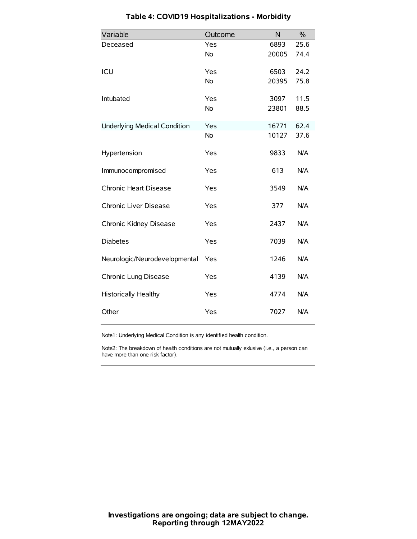| Variable                            | Outcome   | N     | $\frac{0}{0}$ |
|-------------------------------------|-----------|-------|---------------|
| Deceased                            | Yes       | 6893  | 25.6          |
|                                     | No        | 20005 | 74.4          |
| ICU                                 | Yes       | 6503  | 24.2          |
|                                     | <b>No</b> | 20395 | 75.8          |
| Intubated                           | Yes       | 3097  | 11.5          |
|                                     | No        | 23801 | 88.5          |
| <b>Underlying Medical Condition</b> | Yes       | 16771 | 62.4          |
|                                     | <b>No</b> | 10127 | 37.6          |
| Hypertension                        | Yes       | 9833  | N/A           |
| Immunocompromised                   | Yes       | 613   | N/A           |
| Chronic Heart Disease               | Yes       | 3549  | N/A           |
| Chronic Liver Disease               | Yes       | 377   | N/A           |
| Chronic Kidney Disease              | Yes       | 2437  | N/A           |
| <b>Diabetes</b>                     | Yes       | 7039  | N/A           |
| Neurologic/Neurodevelopmental       | Yes       | 1246  | N/A           |
| Chronic Lung Disease                | Yes       | 4139  | N/A           |
| Historically Healthy                | Yes       | 4774  | N/A           |
| Other                               | Yes       | 7027  | N/A           |

# **Table 4: COVID19 Hospitalizations - Morbidity**

Note1: Underlying Medical Condition is any identified health condition.

Note2: The breakdown of health conditions are not mutually exlusive (i.e., a person can have more than one risk factor).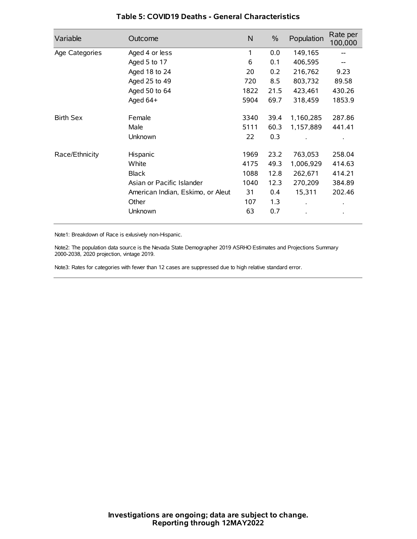| Variable         | Outcome                           | $\mathsf{N}$ | $\%$ | Population           | Rate per<br>100,000 |
|------------------|-----------------------------------|--------------|------|----------------------|---------------------|
| Age Categories   | Aged 4 or less                    | 1            | 0.0  | 149,165              |                     |
|                  | Aged 5 to 17                      | 6            | 0.1  | 406,595              |                     |
|                  | Aged 18 to 24                     | 20           | 0.2  | 216,762              | 9.23                |
|                  | Aged 25 to 49                     | 720          | 8.5  | 803,732              | 89.58               |
|                  | Aged 50 to 64                     | 1822         | 21.5 | 423,461              | 430.26              |
|                  | Aged 64+                          | 5904         | 69.7 | 318,459              | 1853.9              |
| <b>Birth Sex</b> | Female                            | 3340         | 39.4 | 1,160,285            | 287.86              |
|                  | Male                              | 5111         | 60.3 | 1,157,889            | 441.41              |
|                  | Unknown                           | 22           | 0.3  |                      |                     |
| Race/Ethnicity   | Hispanic                          | 1969         | 23.2 | 763,053              | 258.04              |
|                  | White                             | 4175         | 49.3 | 1,006,929            | 414.63              |
|                  | <b>Black</b>                      | 1088         | 12.8 | 262,671              | 414.21              |
|                  | Asian or Pacific Islander         | 1040         | 12.3 | 270,209              | 384.89              |
|                  | American Indian, Eskimo, or Aleut | 31           | 0.4  | 15,311               | 202.46              |
|                  | Other                             | 107          | 1.3  | $\ddot{\phantom{0}}$ | $\bullet$           |
|                  | Unknown                           | 63           | 0.7  |                      | $\bullet$           |

### **Table 5: COVID19 Deaths - General Characteristics**

Note1: Breakdown of Race is exlusively non-Hispanic.

Note2: The population data source is the Nevada State Demographer 2019 ASRHO Estimates and Projections Summary 2000-2038, 2020 projection, vintage 2019.

Note3: Rates for categories with fewer than 12 cases are suppressed due to high relative standard error.